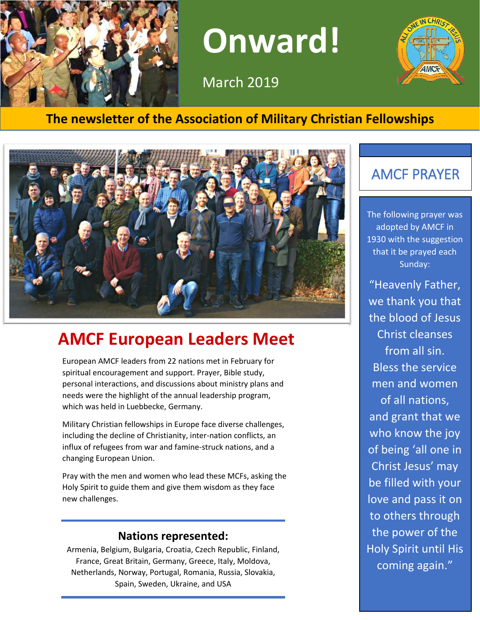

**Onward!** 

March 2019



### **The newsletter of the Association of Military Christian Fellowships**



# **AMCF European Leaders Meet**

European AMCF leaders from 22 nations met in February for spiritual encouragement and support. Prayer, Bible study, personal interactions, and discussions about ministry plans and needs were the highlight of the annual leadership program, which was held in Luebbecke, Germany.

Military Christian fellowships in Europe face diverse challenges, including the decline of Christianity, inter-nation conflicts, an influx of refugees from war and famine-struck nations, and a changing European Union.

Pray with the men and women who lead these MCFs, asking the Holy Spirit to guide them and give them wisdom as they face new challenges.

#### **Nations represented:**

Armenia, Belgium, Bulgaria, Croatia, Czech Republic, Finland, France, Great Britain, Germany, Greece, Italy, Moldova, Netherlands, Norway, Portugal, Romania, Russia, Slovakia, Spain, Sweden, Ukraine, and USA

# AMCF PRAYER

The following prayer was adopted by AMCF in 1930 with the suggestion that it be prayed each Sunday:

"Heavenly Father, we thank you that the blood of Jesus Christ cleanses from all sin. Bless the service men and women of all nations, and grant that we who know the joy of being 'all one in Christ Jesus' may be filled with your love and pass it on to others through the power of the Holy Spirit until His coming again."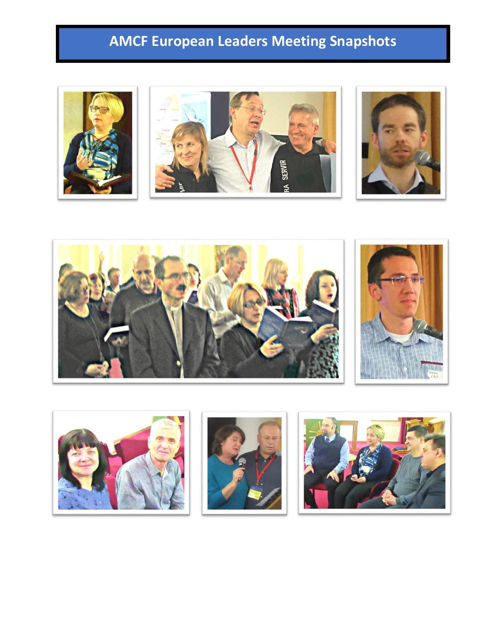# **AMCF European Leaders Meeting Snapshots**

**RINDS** AF











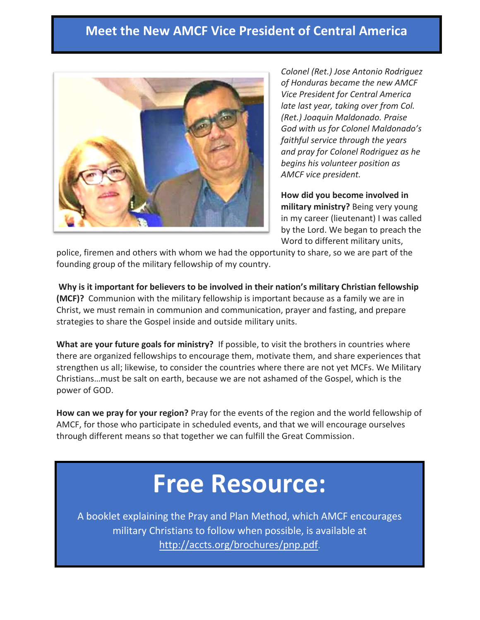### **Meet the New AMCF Vice President of Central America**



*Colonel (Ret.) Jose Antonio Rodriguez of Honduras became the new AMCF Vice President for Central America late last year, taking over from Col. (Ret.) Joaquin Maldonado. Praise God with us for Colonel Maldonado's faithful service through the years and pray for Colonel Rodriguez as he begins his volunteer position as AMCF vice president.*

**How did you become involved in military ministry?** Being very young in my career (lieutenant) I was called by the Lord. We began to preach the Word to different military units,

police, firemen and others with whom we had the opportunity to share, so we are part of the founding group of the military fellowship of my country.

**Why is it important for believers to be involved in their nation's military Christian fellowship (MCF)?** Communion with the military fellowship is important because as a family we are in Christ, we must remain in communion and communication, prayer and fasting, and prepare strategies to share the Gospel inside and outside military units.

**What are your future goals for ministry?** If possible, to visit the brothers in countries where there are organized fellowships to encourage them, motivate them, and share experiences that strengthen us all; likewise, to consider the countries where there are not yet MCFs. We Military Christians…must be salt on earth, because we are not ashamed of the Gospel, which is the power of GOD.

**How can we pray for your region?** Pray for the events of the region and the world fellowship of AMCF, for those who participate in scheduled events, and that we will encourage ourselves through different means so that together we can fulfill the Great Commission.

# **Free Resource:**

A booklet explaining the Pray and Plan Method, which AMCF encourages military Christians to follow when possible, is available at <http://accts.org/brochures/pnp.pdf>.